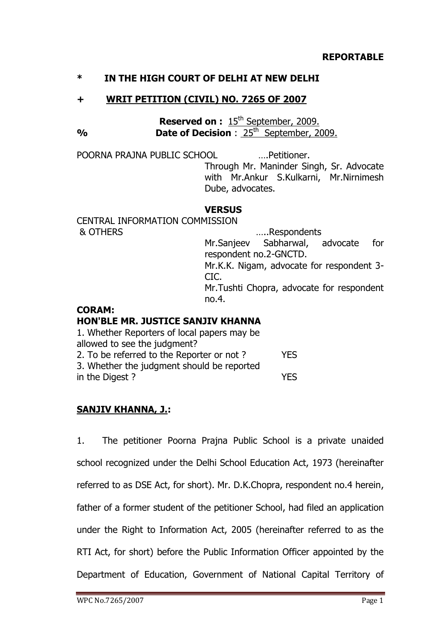## **\* IN THE HIGH COURT OF DELHI AT NEW DELHI**

## **+ WRIT PETITION (CIVIL) NO. 7265 OF 2007**

**Reserved on :** 15<sup>th</sup> September, 2009. **%** Date of Decision : 25<sup>th</sup> September, 2009.

POORNA PRAJNA PUBLIC SCHOOL ….Petitioner.

Through Mr. Maninder Singh, Sr. Advocate with Mr.Ankur S.Kulkarni, Mr.Nirnimesh Dube, advocates.

#### **VERSUS**

CENTRAL INFORMATION COMMISSION & OTHERS …..Respondents Mr.Sanjeev Sabharwal, advocate for respondent no.2-GNCTD. Mr.K.K. Nigam, advocate for respondent 3- CIC. Mr.Tushti Chopra, advocate for respondent no.4.

#### **CORAM:**

#### **HON'BLE MR. JUSTICE SANJIV KHANNA**

| 1. Whether Reporters of local papers may be |            |
|---------------------------------------------|------------|
| allowed to see the judgment?                |            |
| 2. To be referred to the Reporter or not?   | <b>YES</b> |
| 3. Whether the judgment should be reported  |            |
| in the Digest?                              | <b>YES</b> |
|                                             |            |

# **SANJIV KHANNA, J.:**

1. The petitioner Poorna Prajna Public School is a private unaided school recognized under the Delhi School Education Act, 1973 (hereinafter referred to as DSE Act, for short). Mr. D.K.Chopra, respondent no.4 herein, father of a former student of the petitioner School, had filed an application under the Right to Information Act, 2005 (hereinafter referred to as the RTI Act, for short) before the Public Information Officer appointed by the Department of Education, Government of National Capital Territory of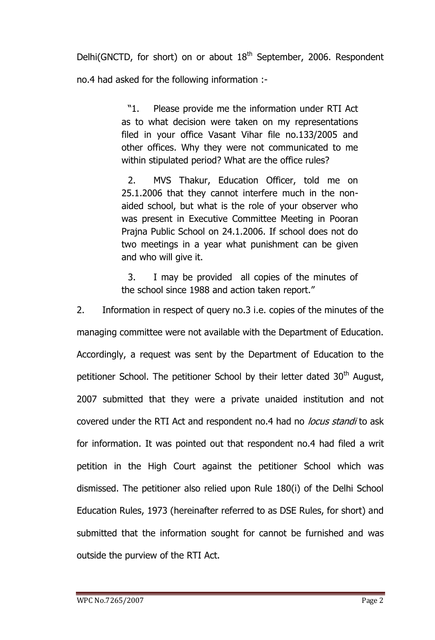Delhi(GNCTD, for short) on or about  $18<sup>th</sup>$  September, 2006. Respondent no.4 had asked for the following information :-

> ―1. Please provide me the information under RTI Act as to what decision were taken on my representations filed in your office Vasant Vihar file no.133/2005 and other offices. Why they were not communicated to me within stipulated period? What are the office rules?

> 2. MVS Thakur, Education Officer, told me on 25.1.2006 that they cannot interfere much in the nonaided school, but what is the role of your observer who was present in Executive Committee Meeting in Pooran Prajna Public School on 24.1.2006. If school does not do two meetings in a year what punishment can be given and who will give it.

> 3. I may be provided all copies of the minutes of the school since 1988 and action taken report."

2. Information in respect of query no.3 i.e. copies of the minutes of the managing committee were not available with the Department of Education. Accordingly, a request was sent by the Department of Education to the petitioner School. The petitioner School by their letter dated 30<sup>th</sup> August, 2007 submitted that they were a private unaided institution and not covered under the RTI Act and respondent no.4 had no *locus standi* to ask for information. It was pointed out that respondent no.4 had filed a writ petition in the High Court against the petitioner School which was dismissed. The petitioner also relied upon Rule 180(i) of the Delhi School Education Rules, 1973 (hereinafter referred to as DSE Rules, for short) and submitted that the information sought for cannot be furnished and was outside the purview of the RTI Act.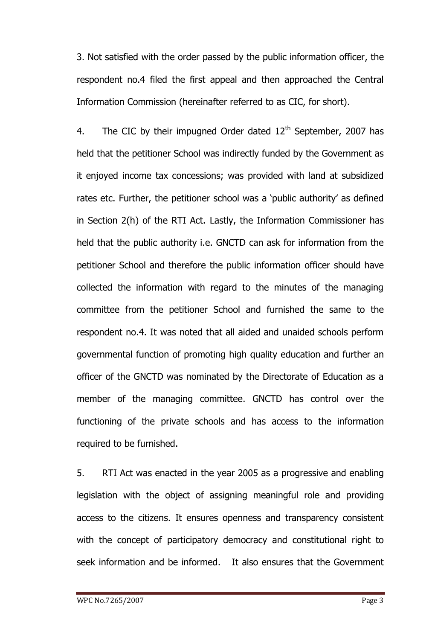3. Not satisfied with the order passed by the public information officer, the respondent no.4 filed the first appeal and then approached the Central Information Commission (hereinafter referred to as CIC, for short).

4. The CIC by their impugned Order dated  $12<sup>th</sup>$  September, 2007 has held that the petitioner School was indirectly funded by the Government as it enjoyed income tax concessions; was provided with land at subsidized rates etc. Further, the petitioner school was a 'public authority' as defined in Section 2(h) of the RTI Act. Lastly, the Information Commissioner has held that the public authority i.e. GNCTD can ask for information from the petitioner School and therefore the public information officer should have collected the information with regard to the minutes of the managing committee from the petitioner School and furnished the same to the respondent no.4. It was noted that all aided and unaided schools perform governmental function of promoting high quality education and further an officer of the GNCTD was nominated by the Directorate of Education as a member of the managing committee. GNCTD has control over the functioning of the private schools and has access to the information required to be furnished.

5. RTI Act was enacted in the year 2005 as a progressive and enabling legislation with the object of assigning meaningful role and providing access to the citizens. It ensures openness and transparency consistent with the concept of participatory democracy and constitutional right to seek information and be informed. It also ensures that the Government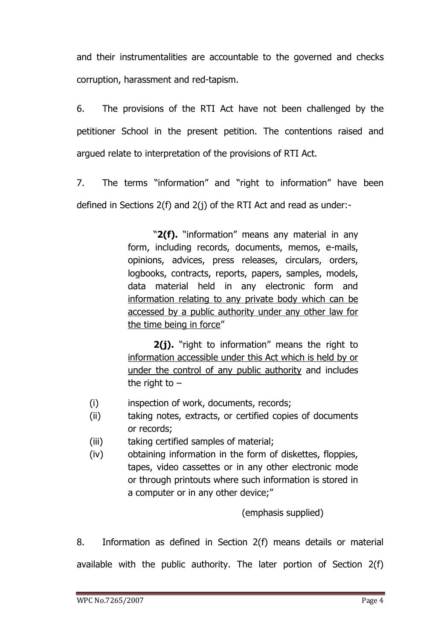and their instrumentalities are accountable to the governed and checks corruption, harassment and red-tapism.

6. The provisions of the RTI Act have not been challenged by the petitioner School in the present petition. The contentions raised and argued relate to interpretation of the provisions of RTI Act.

7. The terms "information" and "right to information" have been defined in Sections 2(f) and 2(j) of the RTI Act and read as under:-

> "2(f). "information" means any material in any form, including records, documents, memos, e-mails, opinions, advices, press releases, circulars, orders, logbooks, contracts, reports, papers, samples, models, data material held in any electronic form and information relating to any private body which can be accessed by a public authority under any other law for the time being in force"

> **2(j).** "right to information" means the right to information accessible under this Act which is held by or under the control of any public authority and includes the right to  $-$

- (i) inspection of work, documents, records;
- (ii) taking notes, extracts, or certified copies of documents or records;
- (iii) taking certified samples of material;
- (iv) obtaining information in the form of diskettes, floppies, tapes, video cassettes or in any other electronic mode or through printouts where such information is stored in a computer or in any other device;"

(emphasis supplied)

8. Information as defined in Section 2(f) means details or material available with the public authority. The later portion of Section 2(f)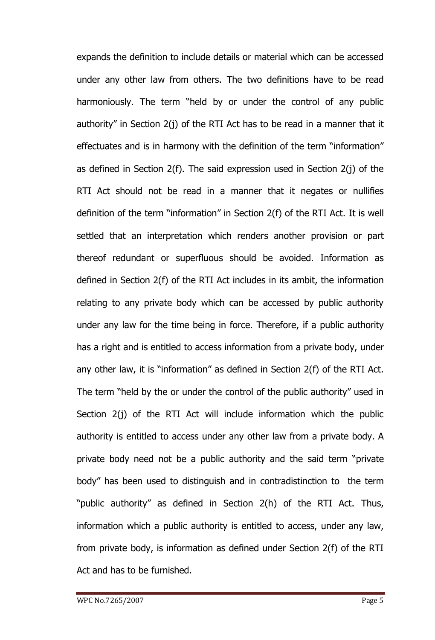expands the definition to include details or material which can be accessed under any other law from others. The two definitions have to be read harmoniously. The term "held by or under the control of any public authority" in Section  $2(j)$  of the RTI Act has to be read in a manner that it effectuates and is in harmony with the definition of the term "information" as defined in Section 2(f). The said expression used in Section 2(j) of the RTI Act should not be read in a manner that it negates or nullifies definition of the term "information" in Section  $2(f)$  of the RTI Act. It is well settled that an interpretation which renders another provision or part thereof redundant or superfluous should be avoided. Information as defined in Section 2(f) of the RTI Act includes in its ambit, the information relating to any private body which can be accessed by public authority under any law for the time being in force. Therefore, if a public authority has a right and is entitled to access information from a private body, under any other law, it is "information" as defined in Section 2(f) of the RTI Act. The term "held by the or under the control of the public authority" used in Section 2(j) of the RTI Act will include information which the public authority is entitled to access under any other law from a private body. A private body need not be a public authority and the said term "private body" has been used to distinguish and in contradistinction to the term "public authority" as defined in Section 2(h) of the RTI Act. Thus, information which a public authority is entitled to access, under any law, from private body, is information as defined under Section 2(f) of the RTI Act and has to be furnished.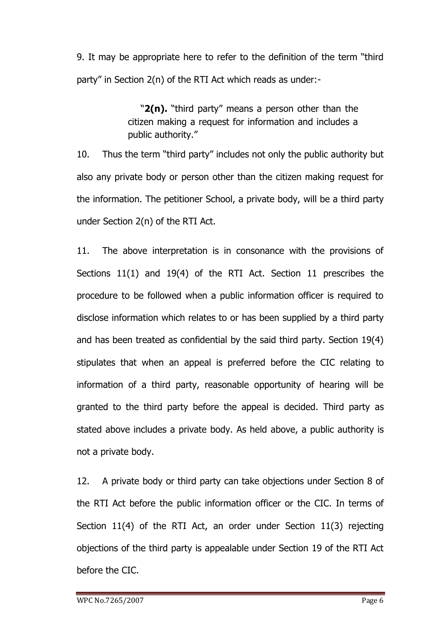9. It may be appropriate here to refer to the definition of the term "third party" in Section  $2(n)$  of the RTI Act which reads as under:-

> "2(n). "third party" means a person other than the citizen making a request for information and includes a public authority."

10. Thus the term "third party" includes not only the public authority but also any private body or person other than the citizen making request for the information. The petitioner School, a private body, will be a third party under Section 2(n) of the RTI Act.

11. The above interpretation is in consonance with the provisions of Sections 11(1) and 19(4) of the RTI Act. Section 11 prescribes the procedure to be followed when a public information officer is required to disclose information which relates to or has been supplied by a third party and has been treated as confidential by the said third party. Section 19(4) stipulates that when an appeal is preferred before the CIC relating to information of a third party, reasonable opportunity of hearing will be granted to the third party before the appeal is decided. Third party as stated above includes a private body. As held above, a public authority is not a private body.

12. A private body or third party can take objections under Section 8 of the RTI Act before the public information officer or the CIC. In terms of Section 11(4) of the RTI Act, an order under Section 11(3) rejecting objections of the third party is appealable under Section 19 of the RTI Act before the CIC.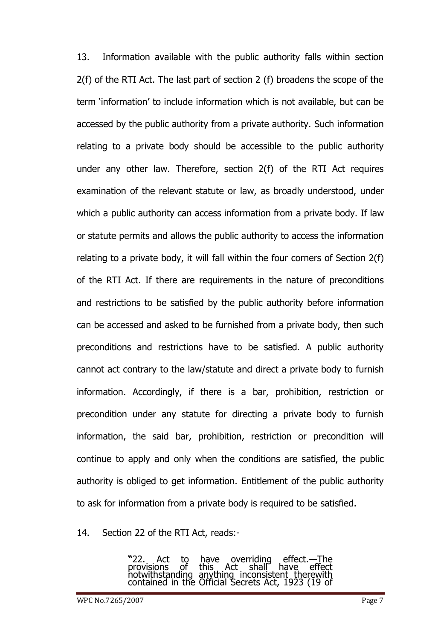13. Information available with the public authority falls within section 2(f) of the RTI Act. The last part of section 2 (f) broadens the scope of the term 'information' to include information which is not available, but can be accessed by the public authority from a private authority. Such information relating to a private body should be accessible to the public authority under any other law. Therefore, section 2(f) of the RTI Act requires examination of the relevant statute or law, as broadly understood, under which a public authority can access information from a private body. If law or statute permits and allows the public authority to access the information relating to a private body, it will fall within the four corners of Section 2(f) of the RTI Act. If there are requirements in the nature of preconditions and restrictions to be satisfied by the public authority before information can be accessed and asked to be furnished from a private body, then such preconditions and restrictions have to be satisfied. A public authority cannot act contrary to the law/statute and direct a private body to furnish information. Accordingly, if there is a bar, prohibition, restriction or precondition under any statute for directing a private body to furnish information, the said bar, prohibition, restriction or precondition will continue to apply and only when the conditions are satisfied, the public authority is obliged to get information. Entitlement of the public authority to ask for information from a private body is required to be satisfied.

14. Section 22 of the RTI Act, reads:-

**"**22. Act to have overriding effect.—The provisions of this Act shall have effect notwithstanding anything inconsistent therewith contained in the Official Secrets Act, 1923 (19 of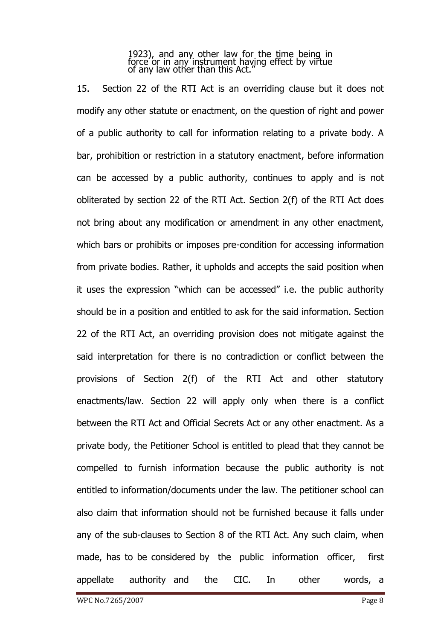1923), and any other law for the time being in force or in any instrument having effect by virtue of any law other than this Act.‖

15. Section 22 of the RTI Act is an overriding clause but it does not modify any other statute or enactment, on the question of right and power of a public authority to call for information relating to a private body. A bar, prohibition or restriction in a statutory enactment, before information can be accessed by a public authority, continues to apply and is not obliterated by section 22 of the RTI Act. Section 2(f) of the RTI Act does not bring about any modification or amendment in any other enactment, which bars or prohibits or imposes pre-condition for accessing information from private bodies. Rather, it upholds and accepts the said position when it uses the expression "which can be accessed" i.e. the public authority should be in a position and entitled to ask for the said information. Section 22 of the RTI Act, an overriding provision does not mitigate against the said interpretation for there is no contradiction or conflict between the provisions of Section 2(f) of the RTI Act and other statutory enactments/law. Section 22 will apply only when there is a conflict between the RTI Act and Official Secrets Act or any other enactment. As a private body, the Petitioner School is entitled to plead that they cannot be compelled to furnish information because the public authority is not entitled to information/documents under the law. The petitioner school can also claim that information should not be furnished because it falls under any of the sub-clauses to Section 8 of the RTI Act. Any such claim, when made, has to be considered by the public information officer, first appellate authority and the CIC. In other words, a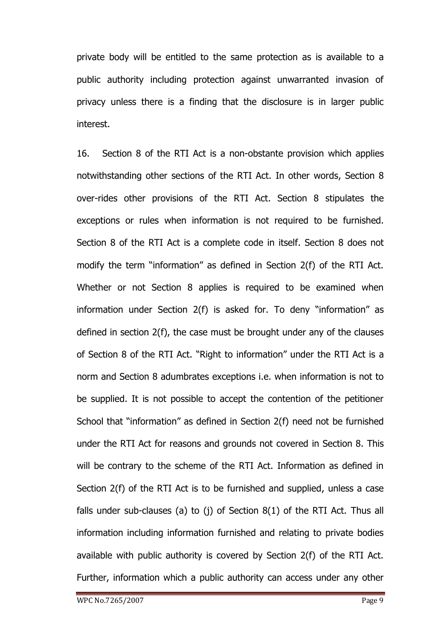private body will be entitled to the same protection as is available to a public authority including protection against unwarranted invasion of privacy unless there is a finding that the disclosure is in larger public interest.

16. Section 8 of the RTI Act is a non-obstante provision which applies notwithstanding other sections of the RTI Act. In other words, Section 8 over-rides other provisions of the RTI Act. Section 8 stipulates the exceptions or rules when information is not required to be furnished. Section 8 of the RTI Act is a complete code in itself. Section 8 does not modify the term "information" as defined in Section  $2(f)$  of the RTI Act. Whether or not Section 8 applies is required to be examined when information under Section  $2(f)$  is asked for. To deny "information" as defined in section 2(f), the case must be brought under any of the clauses of Section 8 of the RTI Act. "Right to information" under the RTI Act is a norm and Section 8 adumbrates exceptions i.e. when information is not to be supplied. It is not possible to accept the contention of the petitioner School that "information" as defined in Section 2(f) need not be furnished under the RTI Act for reasons and grounds not covered in Section 8. This will be contrary to the scheme of the RTI Act. Information as defined in Section 2(f) of the RTI Act is to be furnished and supplied, unless a case falls under sub-clauses (a) to (j) of Section  $8(1)$  of the RTI Act. Thus all information including information furnished and relating to private bodies available with public authority is covered by Section 2(f) of the RTI Act. Further, information which a public authority can access under any other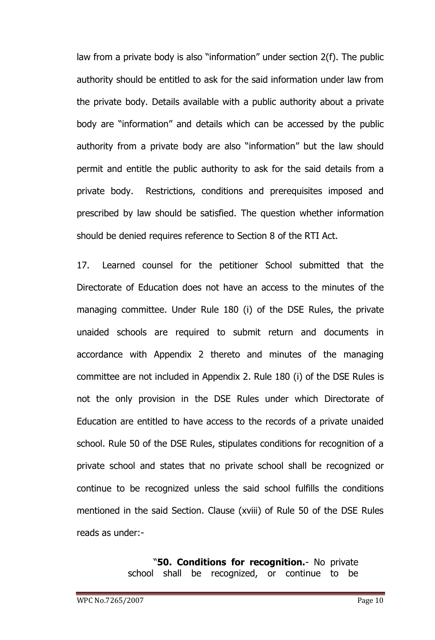law from a private body is also "information" under section 2(f). The public authority should be entitled to ask for the said information under law from the private body. Details available with a public authority about a private body are "information" and details which can be accessed by the public authority from a private body are also "information" but the law should permit and entitle the public authority to ask for the said details from a private body. Restrictions, conditions and prerequisites imposed and prescribed by law should be satisfied. The question whether information should be denied requires reference to Section 8 of the RTI Act.

17. Learned counsel for the petitioner School submitted that the Directorate of Education does not have an access to the minutes of the managing committee. Under Rule 180 (i) of the DSE Rules, the private unaided schools are required to submit return and documents in accordance with Appendix 2 thereto and minutes of the managing committee are not included in Appendix 2. Rule 180 (i) of the DSE Rules is not the only provision in the DSE Rules under which Directorate of Education are entitled to have access to the records of a private unaided school. Rule 50 of the DSE Rules, stipulates conditions for recognition of a private school and states that no private school shall be recognized or continue to be recognized unless the said school fulfills the conditions mentioned in the said Section. Clause (xviii) of Rule 50 of the DSE Rules reads as under:-

> ―**50. Conditions for recognition.**- No private school shall be recognized, or continue to be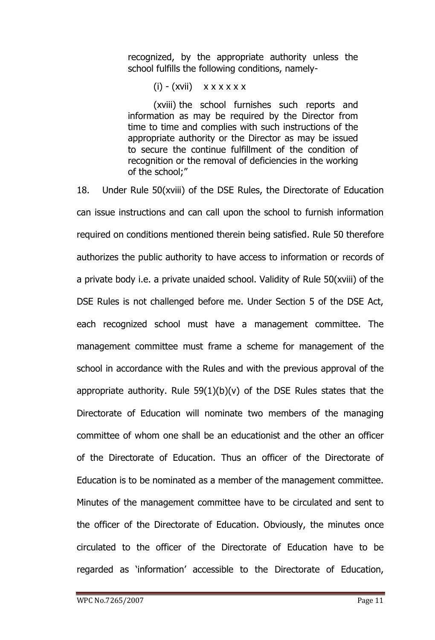recognized, by the appropriate authority unless the school fulfills the following conditions, namely-

 $(i)$  -  $(xvii)$   $x x x x x x x$ 

(xviii) the school furnishes such reports and information as may be required by the Director from time to time and complies with such instructions of the appropriate authority or the Director as may be issued to secure the continue fulfillment of the condition of recognition or the removal of deficiencies in the working of the school;"

18. Under Rule 50(xviii) of the DSE Rules, the Directorate of Education can issue instructions and can call upon the school to furnish information required on conditions mentioned therein being satisfied. Rule 50 therefore authorizes the public authority to have access to information or records of a private body i.e. a private unaided school. Validity of Rule 50(xviii) of the DSE Rules is not challenged before me. Under Section 5 of the DSE Act, each recognized school must have a management committee. The management committee must frame a scheme for management of the school in accordance with the Rules and with the previous approval of the appropriate authority. Rule  $59(1)(b)(v)$  of the DSE Rules states that the Directorate of Education will nominate two members of the managing committee of whom one shall be an educationist and the other an officer of the Directorate of Education. Thus an officer of the Directorate of Education is to be nominated as a member of the management committee. Minutes of the management committee have to be circulated and sent to the officer of the Directorate of Education. Obviously, the minutes once circulated to the officer of the Directorate of Education have to be regarded as 'information' accessible to the Directorate of Education,